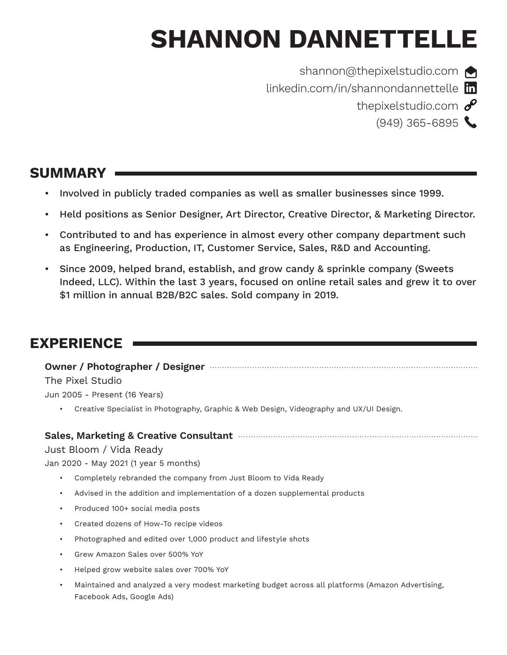# **SHANNON DANNETTELLE**



[shannon@thepixelstudio.com](mailto:shannon@thepixelstudio.com)

[linkedin.com/in/shannondannettelle](https://www.linkedin.com/in/shannondannettelle/) **in** [thepixelstudio.com](https://thepixelstudio.com)  $\mathscr{E}$ 

 $(949)$  365-6895

# **SUMMARY**

- Involved in publicly traded companies as well as smaller businesses since 1999.
- Held positions as Senior Designer, Art Director, Creative Director, & Marketing Director.
- Contributed to and has experience in almost every other company department such as Engineering, Production, IT, Customer Service, Sales, R&D and Accounting.
- Since 2009, helped brand, establish, and grow candy & sprinkle company (Sweets Indeed, LLC). Within the last 3 years, focused on online retail sales and grew it to over \$1 million in annual B2B/B2C sales. Sold company in 2019.

# **EXPERIENCE**

**Owner / Photographer / Designer** The Pixel Studio Jun 2005 - Present (16 Years)

• Creative Specialist in Photography, Graphic & Web Design, Videography and UX/UI Design.

## **Sales, Marketing & Creative Consultant**

## Just Bloom / Vida Ready

Jan 2020 - May 2021 (1 year 5 months)

- Completely rebranded the company from Just Bloom to Vida Ready
- Advised in the addition and implementation of a dozen supplemental products
- Produced 100+ social media posts
- Created dozens of How-To recipe videos
- Photographed and edited over 1,000 product and lifestyle shots
- Grew Amazon Sales over 500% YoY
- Helped grow website sales over 700% YoY
- Maintained and analyzed a very modest marketing budget across all platforms (Amazon Advertising, Facebook Ads, Google Ads)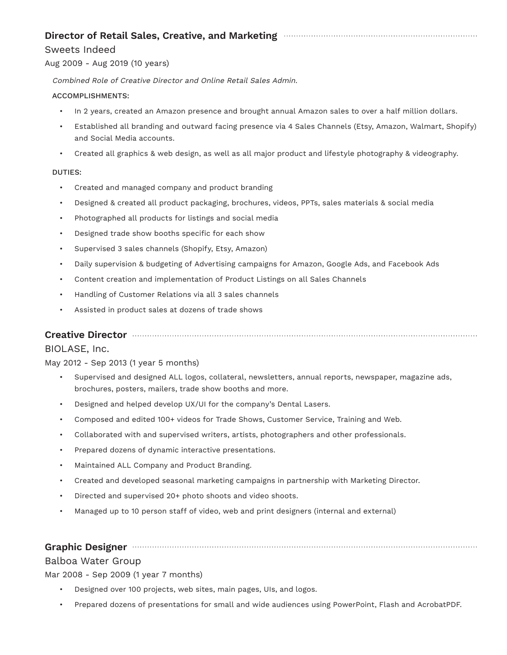## **Director of Retail Sales, Creative, and Marketing**

#### Sweets Indeed

#### Aug 2009 - Aug 2019 (10 years)

Combined Role of Creative Director and Online Retail Sales Admin.

#### ACCOMPLISHMENTS:

- In 2 years, created an Amazon presence and brought annual Amazon sales to over a half million dollars.
- Established all branding and outward facing presence via 4 Sales Channels (Etsy, Amazon, Walmart, Shopify) and Social Media accounts.
- Created all graphics & web design, as well as all major product and lifestyle photography & videography.

#### DUTIES:

- Created and managed company and product branding
- Designed & created all product packaging, brochures, videos, PPTs, sales materials & social media
- Photographed all products for listings and social media
- Designed trade show booths specific for each show
- Supervised 3 sales channels (Shopify, Etsy, Amazon)
- Daily supervision & budgeting of Advertising campaigns for Amazon, Google Ads, and Facebook Ads
- Content creation and implementation of Product Listings on all Sales Channels
- Handling of Customer Relations via all 3 sales channels
- Assisted in product sales at dozens of trade shows

#### **Creative Director**

#### BIOLASE, Inc.

May 2012 - Sep 2013 (1 year 5 months)

- Supervised and designed ALL logos, collateral, newsletters, annual reports, newspaper, magazine ads, brochures, posters, mailers, trade show booths and more.
- Designed and helped develop UX/UI for the company's Dental Lasers.
- Composed and edited 100+ videos for Trade Shows, Customer Service, Training and Web.
- Collaborated with and supervised writers, artists, photographers and other professionals.
- Prepared dozens of dynamic interactive presentations.
- Maintained ALL Company and Product Branding.
- Created and developed seasonal marketing campaigns in partnership with Marketing Director.
- Directed and supervised 20+ photo shoots and video shoots.
- Managed up to 10 person staff of video, web and print designers (internal and external)

#### **Graphic Designer**

#### Balboa Water Group

Mar 2008 - Sep 2009 (1 year 7 months)

- Designed over 100 projects, web sites, main pages, UIs, and logos.
- Prepared dozens of presentations for small and wide audiences using PowerPoint, Flash and AcrobatPDF.